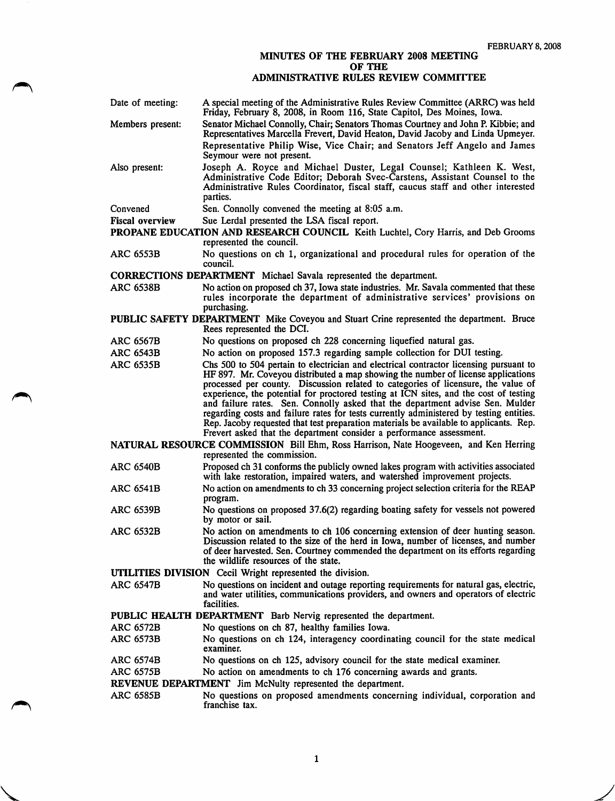## MINUTES OF THE FEBRUARY 2008 MEETING OF THE

## ADMINISTRATIVE RULES REVIEW COMMITTEE

| Date of meeting:                                                                                                    | A special meeting of the Administrative Rules Review Committee (ARRC) was held<br>Friday, February 8, 2008, in Room 116, State Capitol, Des Moines, Iowa.                                                                                                                                                                                                                                                                           |
|---------------------------------------------------------------------------------------------------------------------|-------------------------------------------------------------------------------------------------------------------------------------------------------------------------------------------------------------------------------------------------------------------------------------------------------------------------------------------------------------------------------------------------------------------------------------|
| Members present:                                                                                                    | Senator Michael Connolly, Chair; Senators Thomas Courtney and John P. Kibbie; and<br>Representatives Marcella Frevert, David Heaton, David Jacoby and Linda Upmeyer.                                                                                                                                                                                                                                                                |
|                                                                                                                     | Representative Philip Wise, Vice Chair; and Senators Jeff Angelo and James<br>Seymour were not present.                                                                                                                                                                                                                                                                                                                             |
| Also present:                                                                                                       | Joseph A. Royce and Michael Duster, Legal Counsel; Kathleen K. West,<br>Administrative Code Editor; Deborah Svec-Carstens, Assistant Counsel to the<br>Administrative Rules Coordinator, fiscal staff, caucus staff and other interested<br>parties.                                                                                                                                                                                |
| Convened                                                                                                            | Sen. Connolly convened the meeting at 8:05 a.m.                                                                                                                                                                                                                                                                                                                                                                                     |
| <b>Fiscal overview</b>                                                                                              | Sue Lerdal presented the LSA fiscal report.                                                                                                                                                                                                                                                                                                                                                                                         |
|                                                                                                                     | PROPANE EDUCATION AND RESEARCH COUNCIL Keith Luchtel, Cory Harris, and Deb Grooms<br>represented the council.                                                                                                                                                                                                                                                                                                                       |
| <b>ARC 6553B</b>                                                                                                    | No questions on ch 1, organizational and procedural rules for operation of the<br>council.                                                                                                                                                                                                                                                                                                                                          |
| CORRECTIONS DEPARTMENT Michael Savala represented the department.                                                   |                                                                                                                                                                                                                                                                                                                                                                                                                                     |
| <b>ARC 6538B</b>                                                                                                    | No action on proposed ch 37, Iowa state industries. Mr. Savala commented that these<br>rules incorporate the department of administrative services' provisions on<br>purchasing.                                                                                                                                                                                                                                                    |
|                                                                                                                     | PUBLIC SAFETY DEPARTMENT Mike Coveyou and Stuart Crine represented the department. Bruce<br>Rees represented the DCI.                                                                                                                                                                                                                                                                                                               |
| <b>ARC 6567B</b>                                                                                                    | No questions on proposed ch 228 concerning liquefied natural gas.                                                                                                                                                                                                                                                                                                                                                                   |
| <b>ARC 6543B</b>                                                                                                    | No action on proposed 157.3 regarding sample collection for DUI testing.                                                                                                                                                                                                                                                                                                                                                            |
| <b>ARC 6535B</b>                                                                                                    | Chs 500 to 504 pertain to electrician and electrical contractor licensing pursuant to<br>HF 897. Mr. Coveyou distributed a map showing the number of license applications<br>processed per county. Discussion related to categories of licensure, the value of                                                                                                                                                                      |
|                                                                                                                     | experience, the potential for proctored testing at ICN sites, and the cost of testing<br>and failure rates. Sen. Connolly asked that the department advise Sen. Mulder<br>regarding costs and failure rates for tests currently administered by testing entities.<br>Rep. Jacoby requested that test preparation materials be available to applicants. Rep.<br>Frevert asked that the department consider a performance assessment. |
| NATURAL RESOURCE COMMISSION Bill Ehm, Ross Harrison, Nate Hoogeveen, and Ken Herring<br>represented the commission. |                                                                                                                                                                                                                                                                                                                                                                                                                                     |
| <b>ARC 6540B</b>                                                                                                    | Proposed ch 31 conforms the publicly owned lakes program with activities associated<br>with lake restoration, impaired waters, and watershed improvement projects.                                                                                                                                                                                                                                                                  |
| <b>ARC 6541B</b>                                                                                                    | No action on amendments to ch 33 concerning project selection criteria for the REAP<br>program.                                                                                                                                                                                                                                                                                                                                     |
| <b>ARC 6539B</b>                                                                                                    | No questions on proposed 37.6(2) regarding boating safety for vessels not powered<br>by motor or sail.                                                                                                                                                                                                                                                                                                                              |
| <b>ARC 6532B</b>                                                                                                    | No action on amendments to ch 106 concerning extension of deer hunting season.<br>Discussion related to the size of the herd in Iowa, number of licenses, and number<br>of deer harvested. Sen. Courtney commended the department on its efforts regarding<br>the wildlife resources of the state.                                                                                                                                  |
| UTILITIES DIVISION Cecil Wright represented the division.                                                           |                                                                                                                                                                                                                                                                                                                                                                                                                                     |
| <b>ARC 6547B</b>                                                                                                    | No questions on incident and outage reporting requirements for natural gas, electric,<br>and water utilities, communications providers, and owners and operators of electric<br>facilities.                                                                                                                                                                                                                                         |
| PUBLIC HEALTH DEPARTMENT Barb Nervig represented the department.                                                    |                                                                                                                                                                                                                                                                                                                                                                                                                                     |
| <b>ARC 6572B</b>                                                                                                    | No questions on ch 87, healthy families Iowa.                                                                                                                                                                                                                                                                                                                                                                                       |
| <b>ARC 6573B</b>                                                                                                    | No questions on ch 124, interagency coordinating council for the state medical<br>examiner.                                                                                                                                                                                                                                                                                                                                         |
| <b>ARC 6574B</b>                                                                                                    | No questions on ch 125, advisory council for the state medical examiner.                                                                                                                                                                                                                                                                                                                                                            |
| <b>ARC 6575B</b>                                                                                                    | No action on amendments to ch 176 concerning awards and grants.                                                                                                                                                                                                                                                                                                                                                                     |
|                                                                                                                     | REVENUE DEPARTMENT Jim McNulty represented the department.                                                                                                                                                                                                                                                                                                                                                                          |
| <b>ARC 6585B</b>                                                                                                    | No questions on proposed amendments concerning individual, corporation and<br>franchise tax.                                                                                                                                                                                                                                                                                                                                        |